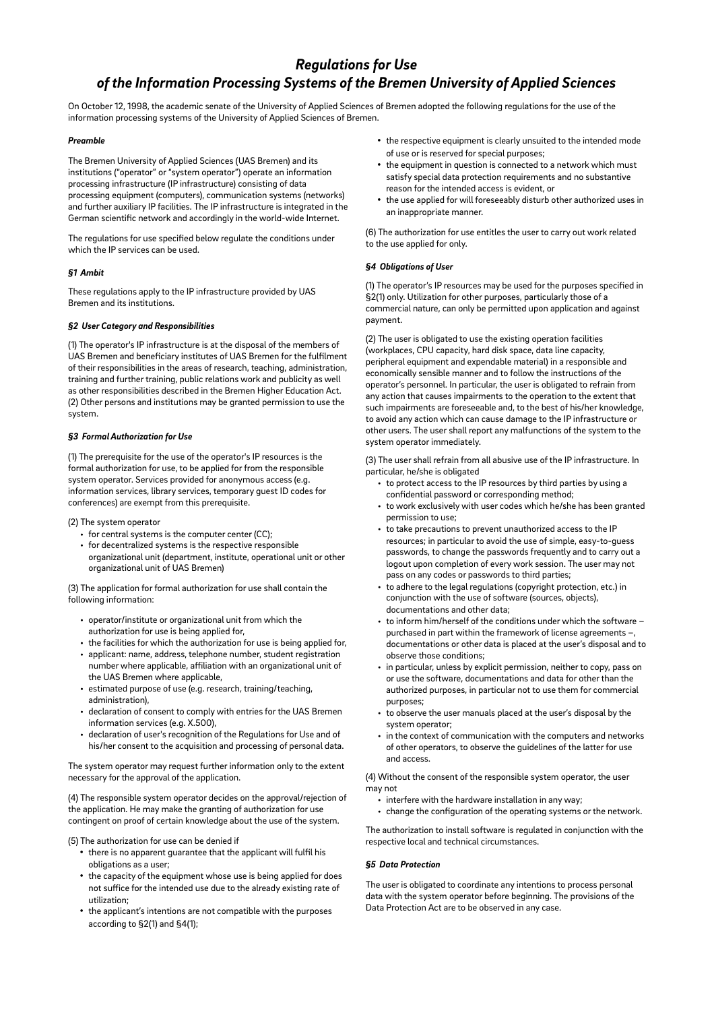# *Regulations for Use of the Information Processing Systems of the Bremen University of Applied Sciences*

On October 12, 1998, the academic senate of the University of Applied Sciences of Bremen adopted the following regulations for the use of the information processing systems of the University of Applied Sciences of Bremen.

## *Preamble*

The Bremen University of Applied Sciences (UAS Bremen) and its institutions ("operator" or "system operator") operate an information processing infrastructure (IP infrastructure) consisting of data processing equipment (computers), communication systems (networks) and further auxiliary IP facilities. The IP infrastructure is integrated in the German scientific network and accordingly in the world-wide Internet.

The regulations for use specified below regulate the conditions under which the IP services can be used.

#### *§1 Ambit*

These regulations apply to the IP infrastructure provided by UAS Bremen and its institutions.

### *§2 User Category and Responsibilities*

(1) The operator's IP infrastructure is at the disposal of the members of UAS Bremen and beneficiary institutes of UAS Bremen for the fulfilment of their responsibilities in the areas of research, teaching, administration, training and further training, public relations work and publicity as well as other responsibilities described in the Bremen Higher Education Act. (2) Other persons and institutions may be granted permission to use the system.

#### *§3 Formal Authorization for Use*

(1) The prerequisite for the use of the operator's IP resources is the formal authorization for use, to be applied for from the responsible system operator. Services provided for anonymous access (e.g. information services, library services, temporary guest ID codes for conferences) are exempt from this prerequisite.

(2) The system operator

- for central systems is the computer center (CC);
- for decentralized systems is the respective responsible organizational unit (department, institute, operational unit or other organizational unit of UAS Bremen)

(3) The application for formal authorization for use shall contain the following information:

- operator/institute or organizational unit from which the authorization for use is being applied for,
- the facilities for which the authorization for use is being applied for, • applicant: name, address, telephone number, student registration
- number where applicable, affiliation with an organizational unit of the UAS Bremen where applicable,
- estimated purpose of use (e.g. research, training/teaching, administration),
- declaration of consent to comply with entries for the UAS Bremen information services (e.g. X.500),
- declaration of user's recognition of the Regulations for Use and of his/her consent to the acquisition and processing of personal data.

The system operator may request further information only to the extent necessary for the approval of the application.

(4) The responsible system operator decides on the approval/rejection of the application. He may make the granting of authorization for use contingent on proof of certain knowledge about the use of the system.

#### (5) The authorization for use can be denied if

- there is no apparent guarantee that the applicant will fulfil his obligations as a user;
- the capacity of the equipment whose use is being applied for does not suffice for the intended use due to the already existing rate of utilization;
- the applicant's intentions are not compatible with the purposes according to §2(1) and §4(1);
- the respective equipment is clearly unsuited to the intended mode of use or is reserved for special purposes;
- the equipment in question is connected to a network which must satisfy special data protection requirements and no substantive reason for the intended access is evident, or
- the use applied for will foreseeably disturb other authorized uses in an inappropriate manner.

(6) The authorization for use entitles the user to carry out work related to the use applied for only.

#### *§4 Obligations of User*

(1) The operator's IP resources may be used for the purposes specified in §2(1) only. Utilization for other purposes, particularly those of a commercial nature, can only be permitted upon application and against payment.

(2) The user is obligated to use the existing operation facilities (workplaces, CPU capacity, hard disk space, data line capacity, peripheral equipment and expendable material) in a responsible and economically sensible manner and to follow the instructions of the operator's personnel. In particular, the user is obligated to refrain from any action that causes impairments to the operation to the extent that such impairments are foreseeable and, to the best of his/her knowledge, to avoid any action which can cause damage to the IP infrastructure or other users. The user shall report any malfunctions of the system to the system operator immediately.

(3) The user shall refrain from all abusive use of the IP infrastructure. In particular, he/she is obligated

- to protect access to the IP resources by third parties by using a confidential password or corresponding method;
- to work exclusively with user codes which he/she has been granted permission to use;
- to take precautions to prevent unauthorized access to the IP resources; in particular to avoid the use of simple, easy-to-guess passwords, to change the passwords frequently and to carry out a logout upon completion of every work session. The user may not pass on any codes or passwords to third parties;
- to adhere to the legal regulations (copyright protection, etc.) in conjunction with the use of software (sources, objects), documentations and other data;
- to inform him/herself of the conditions under which the software purchased in part within the framework of license agreements documentations or other data is placed at the user's disposal and to observe those conditions;
- in particular, unless by explicit permission, neither to copy, pass on or use the software, documentations and data for other than the authorized purposes, in particular not to use them for commercial purposes;
- to observe the user manuals placed at the user's disposal by the system operator;
- in the context of communication with the computers and networks of other operators, to observe the guidelines of the latter for use and access.

(4) Without the consent of the responsible system operator, the user may not

- interfere with the hardware installation in any way;
- change the configuration of the operating systems or the network.

The authorization to install software is regulated in conjunction with the respective local and technical circumstances.

#### *§5 Data Protection*

The user is obligated to coordinate any intentions to process personal data with the system operator before beginning. The provisions of the Data Protection Act are to be observed in any case.